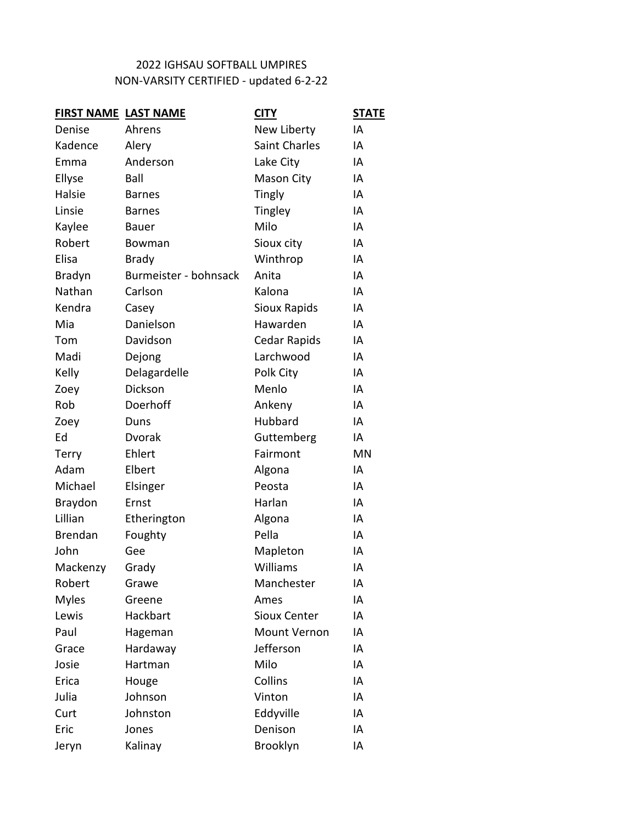## NON-VARSITY CERTIFIED - updated 6-2-22 2022 IGHSAU SOFTBALL UMPIRES

| <b>FIRST NAME LAST NAME</b> |                       | <b>CITY</b>          | <b>STATE</b> |
|-----------------------------|-----------------------|----------------------|--------------|
| Denise                      | Ahrens                | New Liberty          | IA           |
| Kadence                     | Alery                 | <b>Saint Charles</b> | IA           |
| Emma                        | Anderson              | Lake City            | IA           |
| Ellyse                      | Ball                  | Mason City           | IA           |
| Halsie                      | <b>Barnes</b>         | Tingly               | ΙA           |
| Linsie                      | <b>Barnes</b>         | Tingley              | IA           |
| Kaylee                      | <b>Bauer</b>          | Milo                 | IA           |
| Robert                      | Bowman                | Sioux city           | IA           |
| Elisa                       | <b>Brady</b>          | Winthrop             | IA           |
| <b>Bradyn</b>               | Burmeister - bohnsack | Anita                | IA           |
| Nathan                      | Carlson               | Kalona               | IA           |
| Kendra                      | Casey                 | Sioux Rapids         | IA           |
| Mia                         | Danielson             | Hawarden             | IA           |
| Tom                         | Davidson              | Cedar Rapids         | IA           |
| Madi                        | Dejong                | Larchwood            | ΙA           |
| Kelly                       | Delagardelle          | Polk City            | IA           |
| Zoey                        | Dickson               | Menlo                | IA           |
| Rob                         | Doerhoff              | Ankeny               | IA           |
| Zoey                        | Duns                  | Hubbard              | IA           |
| Ed                          | Dvorak                | Guttemberg           | ΙA           |
| <b>Terry</b>                | Ehlert                | Fairmont             | MN           |
| Adam                        | Elbert                | Algona               | IA           |
| Michael                     | Elsinger              | Peosta               | IA           |
| <b>Braydon</b>              | Ernst                 | Harlan               | IA           |
| Lillian                     | Etherington           | Algona               | ΙA           |
| Brendan                     | Foughty               | Pella                | IA           |
| John                        | Gee                   | Mapleton             | IA           |
| Mackenzy                    | Grady                 | Williams             | IA           |
| Robert                      | Grawe                 | Manchester           | IA           |
| <b>Myles</b>                | Greene                | Ames                 | ΙA           |
| Lewis                       | Hackbart              | <b>Sioux Center</b>  | ΙA           |
| Paul                        | Hageman               | Mount Vernon         | IA           |
| Grace                       | Hardaway              | Jefferson            | ΙA           |
| Josie                       | Hartman               | Milo                 | ΙA           |
| Erica                       | Houge                 | Collins              | ΙA           |
| Julia                       | Johnson               | Vinton               | IA           |
| Curt                        | Johnston              | Eddyville            | ΙA           |
| Eric                        | Jones                 | Denison              | ΙA           |
| Jeryn                       | Kalinay               | Brooklyn             | ΙA           |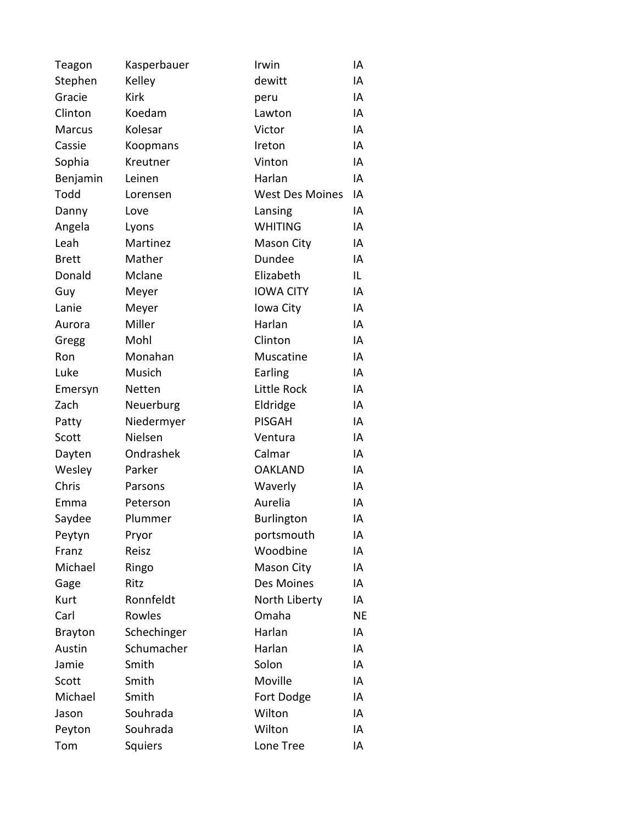| Teagon         | Kasperbauer | Irwin                  | IA        |
|----------------|-------------|------------------------|-----------|
| Stephen        | Kelley      | dewitt                 | IA        |
| Gracie         | <b>Kirk</b> | peru                   | IA        |
| Clinton        | Koedam      | Lawton                 | IA        |
| <b>Marcus</b>  | Kolesar     | Victor                 | IA        |
| Cassie         | Koopmans    | Ireton                 | IA        |
| Sophia         | Kreutner    | Vinton                 | IA        |
| Benjamin       | Leinen      | Harlan                 | IA        |
| Todd           | Lorensen    | <b>West Des Moines</b> | IA        |
| Danny          | Love        | Lansing                | IA        |
| Angela         | Lyons       | <b>WHITING</b>         | IA        |
| Leah           | Martinez    | <b>Mason City</b>      | IA        |
| <b>Brett</b>   | Mather      | Dundee                 | IA        |
| Donald         | Mclane      | Elizabeth              | IL        |
| Guy            | Meyer       | <b>IOWA CITY</b>       | IA        |
| Lanie          | Meyer       | Iowa City              | IA        |
| Aurora         | Miller      | Harlan                 | IA        |
| Gregg          | Mohl        | Clinton                | IA        |
| Ron            | Monahan     | Muscatine              | IA        |
| Luke           | Musich      | Earling                | IA        |
| Emersyn        | Netten      | Little Rock            | IA        |
| Zach           | Neuerburg   | Eldridge               | IA        |
| Patty          | Niedermyer  | <b>PISGAH</b>          | IA        |
| Scott          | Nielsen     | Ventura                | IA        |
| Dayten         | Ondrashek   | Calmar                 | IA        |
| Wesley         | Parker      | <b>OAKLAND</b>         | IA        |
| Chris          | Parsons     | Waverly                | IA        |
| Emma           | Peterson    | Aurelia                | IA        |
| Saydee         | Plummer     | Burlington             | IA        |
| Peytyn         | Pryor       | portsmouth             | IA        |
| Franz          | Reisz       | Woodbine               | IA        |
| Michael        | Ringo       | Mason City             | IA        |
| Gage           | Ritz        | Des Moines             | IA        |
| Kurt           | Ronnfeldt   | North Liberty          | IA        |
| Carl           | Rowles      | Omaha                  | <b>NE</b> |
| <b>Brayton</b> | Schechinger | Harlan                 | IA        |
| Austin         | Schumacher  | Harlan                 | IA        |
| Jamie          | Smith       | Solon                  | IA        |
| Scott          | Smith       | Moville                | IA        |
| Michael        | Smith       | Fort Dodge             | IA        |
| Jason          | Souhrada    | Wilton                 | IA        |
| Peyton         | Souhrada    | Wilton                 | IA        |
| Tom            | Squiers     | Lone Tree              | IA        |